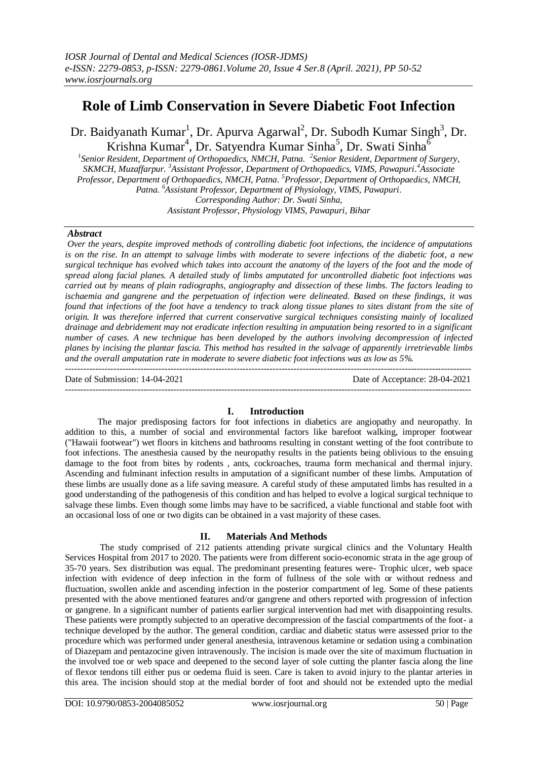# **Role of Limb Conservation in Severe Diabetic Foot Infection**

Dr. Baidyanath Kumar<sup>1</sup>, Dr. Apurva Agarwal<sup>2</sup>, Dr. Subodh Kumar Singh<sup>3</sup>, Dr. Krishna Kumar<sup>4</sup>, Dr. Satyendra Kumar Sinha<sup>5</sup>, Dr. Swati Sinha<sup>6</sup>

*1 Senior Resident, Department of Orthopaedics, NMCH, Patna. 2 Senior Resident, Department of Surgery, SKMCH, Muzaffarpur. <sup>3</sup>Assistant Professor, Department of Orthopaedics, VIMS, Pawapuri. <sup>4</sup>Associate Professor, Department of Orthopaedics, NMCH, Patna. <sup>5</sup>Professor, Department of Orthopaedics, NMCH, Patna. <sup>6</sup>Assistant Professor, Department of Physiology, VIMS, Pawapuri. Corresponding Author: Dr. Swati Sinha,*

*Assistant Professor, Physiology VIMS, Pawapuri, Bihar*

### *Abstract*

*Over the years, despite improved methods of controlling diabetic foot infections, the incidence of amputations is on the rise. In an attempt to salvage limbs with moderate to severe infections of the diabetic foot, a new surgical technique has evolved which takes into account the anatomy of the layers of the foot and the mode of spread along facial planes. A detailed study of limbs amputated for uncontrolled diabetic foot infections was carried out by means of plain radiographs, angiography and dissection of these limbs. The factors leading to ischaemia and gangrene and the perpetuation of infection were delineated. Based on these findings, it was found that infections of the foot have a tendency to track along tissue planes to sites distant from the site of origin. It was therefore inferred that current conservative surgical techniques consisting mainly of localized drainage and debridement may not eradicate infection resulting in amputation being resorted to in a significant number of cases. A new technique has been developed by the authors involving decompression of infected planes by incising the plantar fascia. This method has resulted in the salvage of apparently irretrievable limbs and the overall amputation rate in moderate to severe diabetic foot infections was as low as 5%.*

 $-1.1$ Date of Submission: 14-04-2021 Date of Acceptance: 28-04-2021 ---------------------------------------------------------------------------------------------------------------------------------------

## **I. Introduction**

The major predisposing factors for foot infections in diabetics are angiopathy and neuropathy. In addition to this, a number of social and environmental factors like barefoot walking, improper footwear ("Hawaii footwear") wet floors in kitchens and bathrooms resulting in constant wetting of the foot contribute to foot infections. The anesthesia caused by the neuropathy results in the patients being oblivious to the ensuing damage to the foot from bites by rodents , ants, cockroaches, trauma form mechanical and thermal injury. Ascending and fulminant infection results in amputation of a significant number of these limbs. Amputation of these limbs are usually done as a life saving measure. A careful study of these amputated limbs has resulted in a good understanding of the pathogenesis of this condition and has helped to evolve a logical surgical technique to salvage these limbs. Even though some limbs may have to be sacrificed, a viable functional and stable foot with an occasional loss of one or two digits can be obtained in a vast majority of these cases.

### **II. Materials And Methods**

The study comprised of 212 patients attending private surgical clinics and the Voluntary Health Services Hospital from 2017 to 2020. The patients were from different socio-economic strata in the age group of 35-70 years. Sex distribution was equal. The predominant presenting features were- Trophic ulcer, web space infection with evidence of deep infection in the form of fullness of the sole with or without redness and fluctuation, swollen ankle and ascending infection in the posterior compartment of leg. Some of these patients presented with the above mentioned features and/or gangrene and others reported with progression of infection or gangrene. In a significant number of patients earlier surgical intervention had met with disappointing results. These patients were promptly subjected to an operative decompression of the fascial compartments of the foot- a technique developed by the author. The general condition, cardiac and diabetic status were assessed prior to the procedure which was performed under general anesthesia, intravenous ketamine or sedation using a combination of Diazepam and pentazocine given intravenously. The incision is made over the site of maximum fluctuation in the involved toe or web space and deepened to the second layer of sole cutting the planter fascia along the line of flexor tendons till either pus or oedema fluid is seen. Care is taken to avoid injury to the plantar arteries in this area. The incision should stop at the medial border of foot and should not be extended upto the medial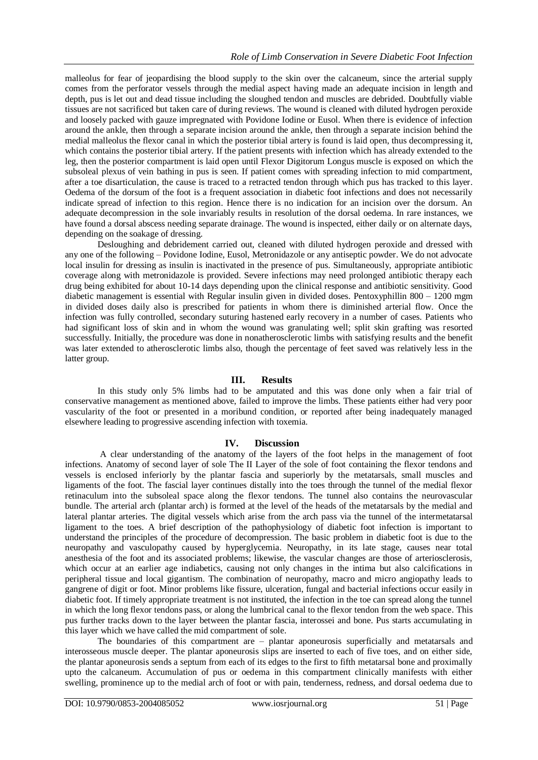malleolus for fear of jeopardising the blood supply to the skin over the calcaneum, since the arterial supply comes from the perforator vessels through the medial aspect having made an adequate incision in length and depth, pus is let out and dead tissue including the sloughed tendon and muscles are debrided. Doubtfully viable tissues are not sacrificed but taken care of during reviews. The wound is cleaned with diluted hydrogen peroxide and loosely packed with gauze impregnated with Povidone Iodine or Eusol. When there is evidence of infection around the ankle, then through a separate incision around the ankle, then through a separate incision behind the medial malleolus the flexor canal in which the posterior tibial artery is found is laid open, thus decompressing it, which contains the posterior tibial artery. If the patient presents with infection which has already extended to the leg, then the posterior compartment is laid open until Flexor Digitorum Longus muscle is exposed on which the subsoleal plexus of vein bathing in pus is seen. If patient comes with spreading infection to mid compartment, after a toe disarticulation, the cause is traced to a retracted tendon through which pus has tracked to this layer. Oedema of the dorsum of the foot is a frequent association in diabetic foot infections and does not necessarily indicate spread of infection to this region. Hence there is no indication for an incision over the dorsum. An adequate decompression in the sole invariably results in resolution of the dorsal oedema. In rare instances, we have found a dorsal abscess needing separate drainage. The wound is inspected, either daily or on alternate days, depending on the soakage of dressing.

Desloughing and debridement carried out, cleaned with diluted hydrogen peroxide and dressed with any one of the following – Povidone Iodine, Eusol, Metronidazole or any antiseptic powder. We do not advocate local insulin for dressing as insulin is inactivated in the presence of pus. Simultaneously, appropriate antibiotic coverage along with metronidazole is provided. Severe infections may need prolonged antibiotic therapy each drug being exhibited for about 10-14 days depending upon the clinical response and antibiotic sensitivity. Good diabetic management is essential with Regular insulin given in divided doses. Pentoxyphillin 800 – 1200 mgm in divided doses daily also is prescribed for patients in whom there is diminished arterial flow. Once the infection was fully controlled, secondary suturing hastened early recovery in a number of cases. Patients who had significant loss of skin and in whom the wound was granulating well; split skin grafting was resorted successfully. Initially, the procedure was done in nonatherosclerotic limbs with satisfying results and the benefit was later extended to atherosclerotic limbs also, though the percentage of feet saved was relatively less in the latter group.

### **III. Results**

In this study only 5% limbs had to be amputated and this was done only when a fair trial of conservative management as mentioned above, failed to improve the limbs. These patients either had very poor vascularity of the foot or presented in a moribund condition, or reported after being inadequately managed elsewhere leading to progressive ascending infection with toxemia.

### **IV. Discussion**

A clear understanding of the anatomy of the layers of the foot helps in the management of foot infections. Anatomy of second layer of sole The II Layer of the sole of foot containing the flexor tendons and vessels is enclosed inferiorly by the plantar fascia and superiorly by the metatarsals, small muscles and ligaments of the foot. The fascial layer continues distally into the toes through the tunnel of the medial flexor retinaculum into the subsoleal space along the flexor tendons. The tunnel also contains the neurovascular bundle. The arterial arch (plantar arch) is formed at the level of the heads of the metatarsals by the medial and lateral plantar arteries. The digital vessels which arise from the arch pass via the tunnel of the intermetatarsal ligament to the toes. A brief description of the pathophysiology of diabetic foot infection is important to understand the principles of the procedure of decompression. The basic problem in diabetic foot is due to the neuropathy and vasculopathy caused by hyperglycemia. Neuropathy, in its late stage, causes near total anesthesia of the foot and its associated problems; likewise, the vascular changes are those of arteriosclerosis, which occur at an earlier age indiabetics, causing not only changes in the intima but also calcifications in peripheral tissue and local gigantism. The combination of neuropathy, macro and micro angiopathy leads to gangrene of digit or foot. Minor problems like fissure, ulceration, fungal and bacterial infections occur easily in diabetic foot. If timely appropriate treatment is not instituted, the infection in the toe can spread along the tunnel in which the long flexor tendons pass, or along the lumbrical canal to the flexor tendon from the web space. This pus further tracks down to the layer between the plantar fascia, interossei and bone. Pus starts accumulating in this layer which we have called the mid compartment of sole.

The boundaries of this compartment are – plantar aponeurosis superficially and metatarsals and interosseous muscle deeper. The plantar aponeurosis slips are inserted to each of five toes, and on either side, the plantar aponeurosis sends a septum from each of its edges to the first to fifth metatarsal bone and proximally upto the calcaneum. Accumulation of pus or oedema in this compartment clinically manifests with either swelling, prominence up to the medial arch of foot or with pain, tenderness, redness, and dorsal oedema due to